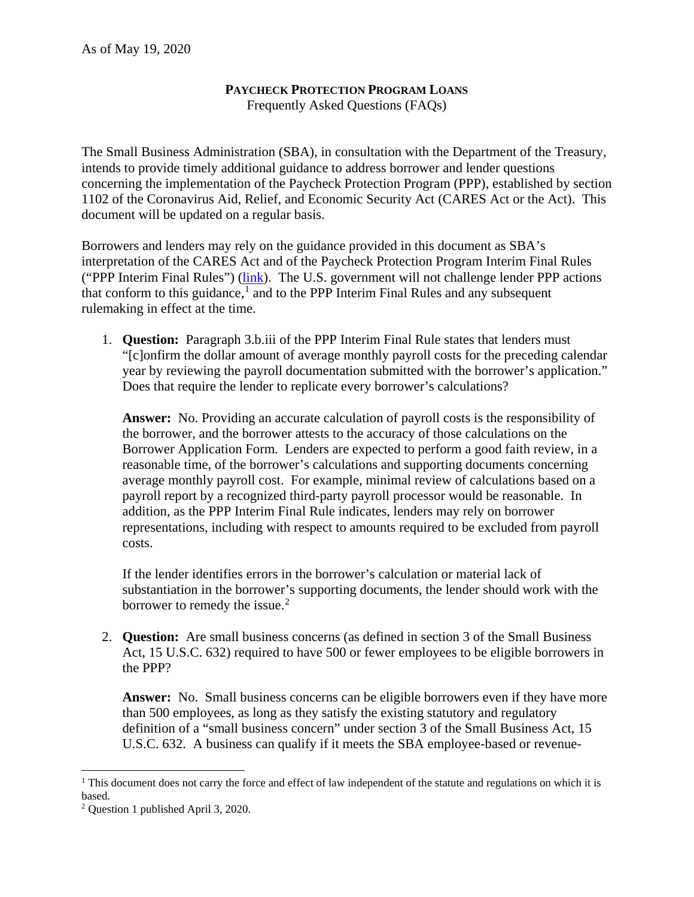## **PAYCHECK PROTECTION PROGRAM LOANS**

Frequently Asked Questions (FAQs)

The Small Business Administration (SBA), in consultation with the Department of the Treasury, intends to provide timely additional guidance to address borrower and lender questions concerning the implementation of the Paycheck Protection Program (PPP), established by section 1102 of the Coronavirus Aid, Relief, and Economic Security Act (CARES Act or the Act). This document will be updated on a regular basis.

Borrowers and lenders may rely on the guidance provided in this document as SBA's interpretation of the CARES Act and of the Paycheck Protection Program Interim Final Rules ("PPP Interim Final Rules") [\(link\)](https://home.treasury.gov/policy-issues/cares/assistance-for-small-businesses). The U.S. government will not challenge lender PPP actions that conform to this guidance,<sup>[1](#page-0-0)</sup> and to the PPP Interim Final Rules and any subsequent rulemaking in effect at the time.

1. **Question:** Paragraph 3.b.iii of the PPP Interim Final Rule states that lenders must "[c]onfirm the dollar amount of average monthly payroll costs for the preceding calendar year by reviewing the payroll documentation submitted with the borrower's application." Does that require the lender to replicate every borrower's calculations?

**Answer:** No. Providing an accurate calculation of payroll costs is the responsibility of the borrower, and the borrower attests to the accuracy of those calculations on the Borrower Application Form. Lenders are expected to perform a good faith review, in a reasonable time, of the borrower's calculations and supporting documents concerning average monthly payroll cost. For example, minimal review of calculations based on a payroll report by a recognized third-party payroll processor would be reasonable. In addition, as the PPP Interim Final Rule indicates, lenders may rely on borrower representations, including with respect to amounts required to be excluded from payroll costs.

If the lender identifies errors in the borrower's calculation or material lack of substantiation in the borrower's supporting documents, the lender should work with the borrower to remedy the issue. $2$ 

2. **Question:** Are small business concerns (as defined in section 3 of the Small Business Act, 15 U.S.C. 632) required to have 500 or fewer employees to be eligible borrowers in the PPP?

**Answer:** No. Small business concerns can be eligible borrowers even if they have more than 500 employees, as long as they satisfy the existing statutory and regulatory definition of a "small business concern" under section 3 of the Small Business Act, 15 U.S.C. 632. A business can qualify if it meets the SBA employee-based or revenue-

<span id="page-0-0"></span> $\overline{a}$  $1$ . This document does not carry the force and effect of law independent of the statute and regulations on which it is based.

<span id="page-0-1"></span><sup>2</sup> Question 1 published April 3, 2020.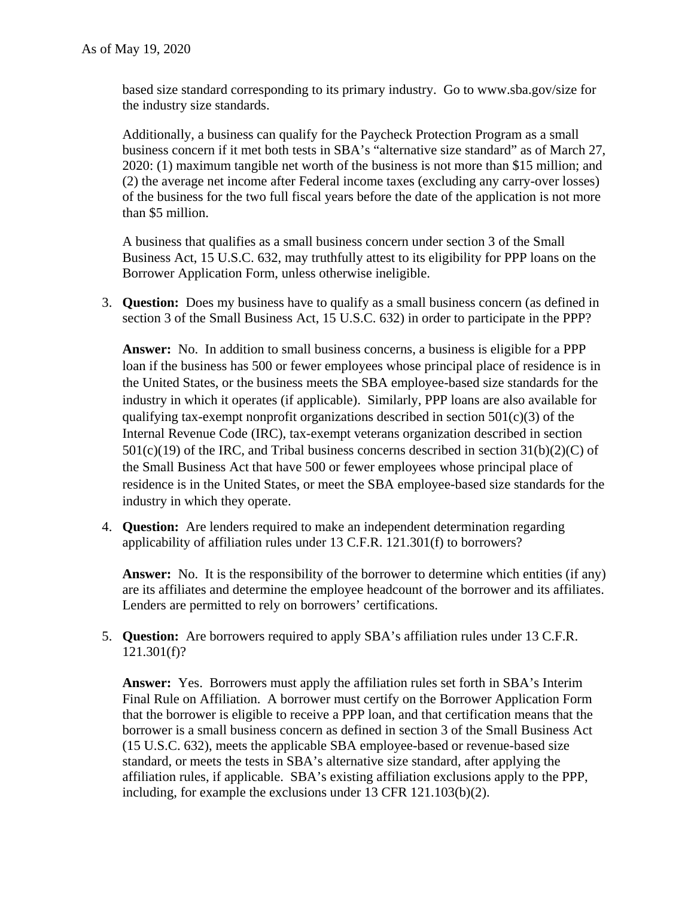based size standard corresponding to its primary industry. Go to www.sba.gov/size for the industry size standards.

Additionally, a business can qualify for the Paycheck Protection Program as a small business concern if it met both tests in SBA's "alternative size standard" as of March 27, 2020: (1) maximum tangible net worth of the business is not more than \$15 million; and (2) the average net income after Federal income taxes (excluding any carry-over losses) of the business for the two full fiscal years before the date of the application is not more than \$5 million.

A business that qualifies as a small business concern under section 3 of the Small Business Act, 15 U.S.C. 632, may truthfully attest to its eligibility for PPP loans on the Borrower Application Form, unless otherwise ineligible.

3. **Question:** Does my business have to qualify as a small business concern (as defined in section 3 of the Small Business Act, 15 U.S.C. 632) in order to participate in the PPP?

**Answer:** No. In addition to small business concerns, a business is eligible for a PPP loan if the business has 500 or fewer employees whose principal place of residence is in the United States, or the business meets the SBA employee-based size standards for the industry in which it operates (if applicable). Similarly, PPP loans are also available for qualifying tax-exempt nonprofit organizations described in section  $501(c)(3)$  of the Internal Revenue Code (IRC), tax-exempt veterans organization described in section  $501(c)(19)$  of the IRC, and Tribal business concerns described in section  $31(b)(2)(C)$  of the Small Business Act that have 500 or fewer employees whose principal place of residence is in the United States, or meet the SBA employee-based size standards for the industry in which they operate.

4. **Question:** Are lenders required to make an independent determination regarding applicability of affiliation rules under 13 C.F.R. 121.301(f) to borrowers?

**Answer:** No. It is the responsibility of the borrower to determine which entities (if any) are its affiliates and determine the employee headcount of the borrower and its affiliates. Lenders are permitted to rely on borrowers' certifications.

5. **Question:** Are borrowers required to apply SBA's affiliation rules under 13 C.F.R. 121.301(f)?

**Answer:** Yes. Borrowers must apply the affiliation rules set forth in SBA's Interim Final Rule on Affiliation. A borrower must certify on the Borrower Application Form that the borrower is eligible to receive a PPP loan, and that certification means that the borrower is a small business concern as defined in section 3 of the Small Business Act (15 U.S.C. 632), meets the applicable SBA employee-based or revenue-based size standard, or meets the tests in SBA's alternative size standard, after applying the affiliation rules, if applicable. SBA's existing affiliation exclusions apply to the PPP, including, for example the exclusions under 13 CFR 121.103(b)(2).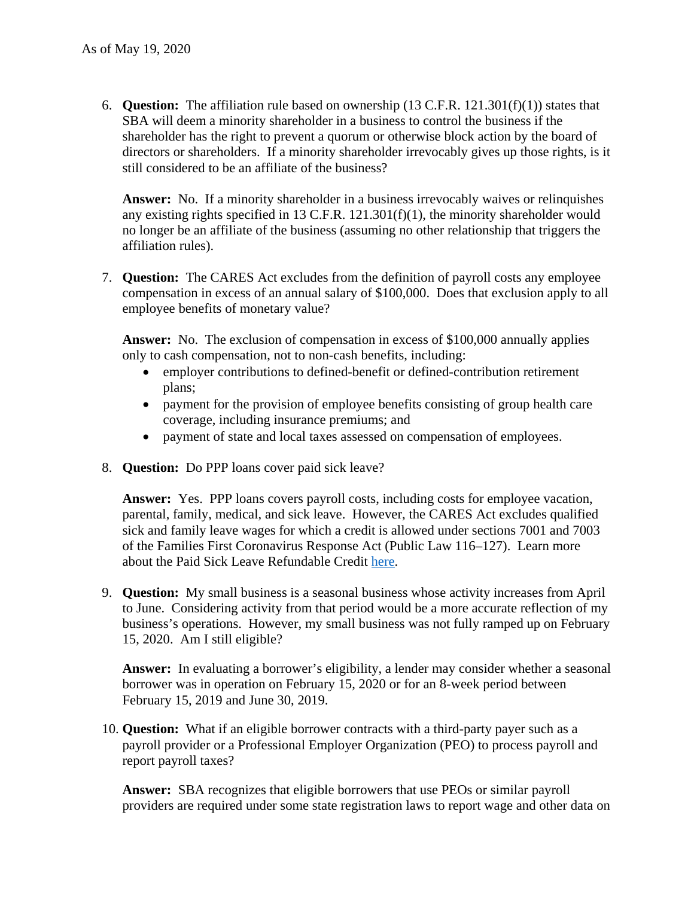6. **Question:** The affiliation rule based on ownership (13 C.F.R. 121.301(f)(1)) states that SBA will deem a minority shareholder in a business to control the business if the shareholder has the right to prevent a quorum or otherwise block action by the board of directors or shareholders. If a minority shareholder irrevocably gives up those rights, is it still considered to be an affiliate of the business?

**Answer:** No. If a minority shareholder in a business irrevocably waives or relinquishes any existing rights specified in 13 C.F.R. 121.301(f)(1), the minority shareholder would no longer be an affiliate of the business (assuming no other relationship that triggers the affiliation rules).

7. **Question:** The CARES Act excludes from the definition of payroll costs any employee compensation in excess of an annual salary of \$100,000. Does that exclusion apply to all employee benefits of monetary value?

**Answer:** No. The exclusion of compensation in excess of \$100,000 annually applies only to cash compensation, not to non-cash benefits, including:

- employer contributions to defined-benefit or defined-contribution retirement plans;
- payment for the provision of employee benefits consisting of group health care coverage, including insurance premiums; and
- payment of state and local taxes assessed on compensation of employees.
- 8. **Question:** Do PPP loans cover paid sick leave?

**Answer:** Yes. PPP loans covers payroll costs, including costs for employee vacation, parental, family, medical, and sick leave. However, the CARES Act excludes qualified sick and family leave wages for which a credit is allowed under sections 7001 and 7003 of the Families First Coronavirus Response Act (Public Law 116–127). Learn more about the Paid Sick Leave Refundable Credit [here.](https://www.irs.gov/newsroom/covid-19-related-tax-credits-for-required-paid-leave-provided-by-small-and-midsize-businesses-faqs)

9. **Question:** My small business is a seasonal business whose activity increases from April to June. Considering activity from that period would be a more accurate reflection of my business's operations. However, my small business was not fully ramped up on February 15, 2020. Am I still eligible?

**Answer:** In evaluating a borrower's eligibility, a lender may consider whether a seasonal borrower was in operation on February 15, 2020 or for an 8-week period between February 15, 2019 and June 30, 2019.

10. **Question:** What if an eligible borrower contracts with a third-party payer such as a payroll provider or a Professional Employer Organization (PEO) to process payroll and report payroll taxes?

**Answer:** SBA recognizes that eligible borrowers that use PEOs or similar payroll providers are required under some state registration laws to report wage and other data on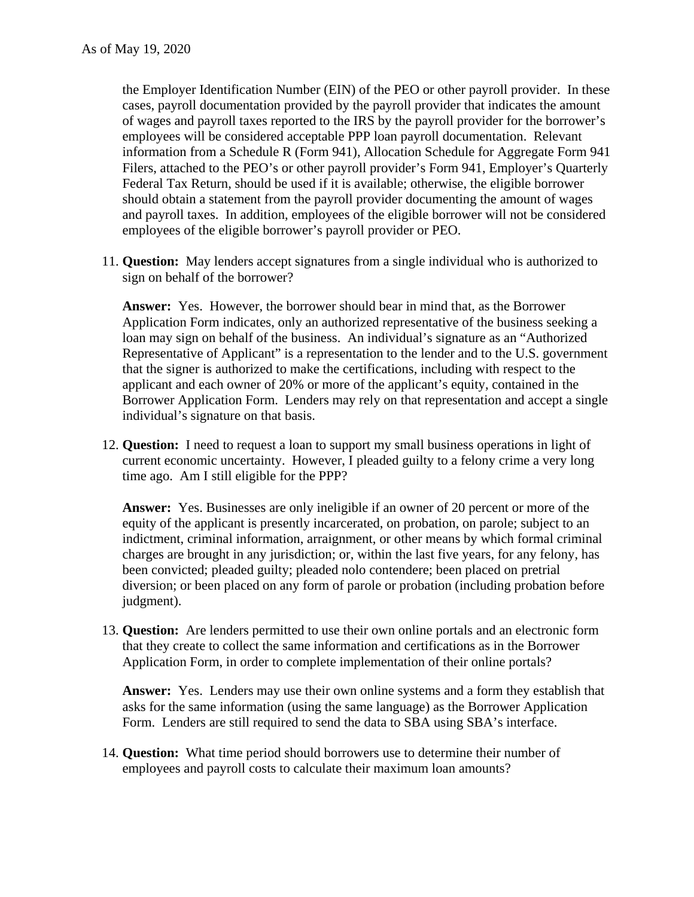the Employer Identification Number (EIN) of the PEO or other payroll provider. In these cases, payroll documentation provided by the payroll provider that indicates the amount of wages and payroll taxes reported to the IRS by the payroll provider for the borrower's employees will be considered acceptable PPP loan payroll documentation. Relevant information from a Schedule R (Form 941), Allocation Schedule for Aggregate Form 941 Filers, attached to the PEO's or other payroll provider's Form 941, Employer's Quarterly Federal Tax Return, should be used if it is available; otherwise, the eligible borrower should obtain a statement from the payroll provider documenting the amount of wages and payroll taxes. In addition, employees of the eligible borrower will not be considered employees of the eligible borrower's payroll provider or PEO.

11. **Question:** May lenders accept signatures from a single individual who is authorized to sign on behalf of the borrower?

**Answer:** Yes. However, the borrower should bear in mind that, as the Borrower Application Form indicates, only an authorized representative of the business seeking a loan may sign on behalf of the business. An individual's signature as an "Authorized Representative of Applicant" is a representation to the lender and to the U.S. government that the signer is authorized to make the certifications, including with respect to the applicant and each owner of 20% or more of the applicant's equity, contained in the Borrower Application Form. Lenders may rely on that representation and accept a single individual's signature on that basis.

12. **Question:** I need to request a loan to support my small business operations in light of current economic uncertainty. However, I pleaded guilty to a felony crime a very long time ago. Am I still eligible for the PPP?

**Answer:** Yes. Businesses are only ineligible if an owner of 20 percent or more of the equity of the applicant is presently incarcerated, on probation, on parole; subject to an indictment, criminal information, arraignment, or other means by which formal criminal charges are brought in any jurisdiction; or, within the last five years, for any felony, has been convicted; pleaded guilty; pleaded nolo contendere; been placed on pretrial diversion; or been placed on any form of parole or probation (including probation before judgment).

13. **Question:** Are lenders permitted to use their own online portals and an electronic form that they create to collect the same information and certifications as in the Borrower Application Form, in order to complete implementation of their online portals?

**Answer:** Yes. Lenders may use their own online systems and a form they establish that asks for the same information (using the same language) as the Borrower Application Form. Lenders are still required to send the data to SBA using SBA's interface.

14. **Question:** What time period should borrowers use to determine their number of employees and payroll costs to calculate their maximum loan amounts?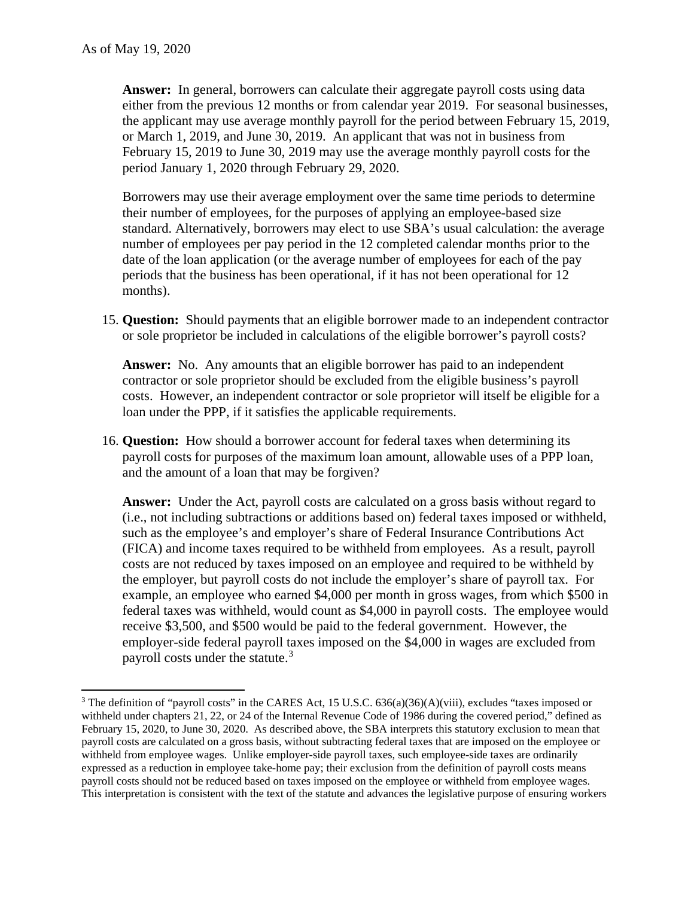$\overline{a}$ 

**Answer:** In general, borrowers can calculate their aggregate payroll costs using data either from the previous 12 months or from calendar year 2019. For seasonal businesses, the applicant may use average monthly payroll for the period between February 15, 2019, or March 1, 2019, and June 30, 2019. An applicant that was not in business from February 15, 2019 to June 30, 2019 may use the average monthly payroll costs for the period January 1, 2020 through February 29, 2020.

Borrowers may use their average employment over the same time periods to determine their number of employees, for the purposes of applying an employee-based size standard. Alternatively, borrowers may elect to use SBA's usual calculation: the average number of employees per pay period in the 12 completed calendar months prior to the date of the loan application (or the average number of employees for each of the pay periods that the business has been operational, if it has not been operational for 12 months).

15. **Question:** Should payments that an eligible borrower made to an independent contractor or sole proprietor be included in calculations of the eligible borrower's payroll costs?

**Answer:** No. Any amounts that an eligible borrower has paid to an independent contractor or sole proprietor should be excluded from the eligible business's payroll costs. However, an independent contractor or sole proprietor will itself be eligible for a loan under the PPP, if it satisfies the applicable requirements.

16. **Question:** How should a borrower account for federal taxes when determining its payroll costs for purposes of the maximum loan amount, allowable uses of a PPP loan, and the amount of a loan that may be forgiven?

**Answer:** Under the Act, payroll costs are calculated on a gross basis without regard to (i.e., not including subtractions or additions based on) federal taxes imposed or withheld, such as the employee's and employer's share of Federal Insurance Contributions Act (FICA) and income taxes required to be withheld from employees. As a result, payroll costs are not reduced by taxes imposed on an employee and required to be withheld by the employer, but payroll costs do not include the employer's share of payroll tax. For example, an employee who earned \$4,000 per month in gross wages, from which \$500 in federal taxes was withheld, would count as \$4,000 in payroll costs. The employee would receive \$3,500, and \$500 would be paid to the federal government. However, the employer-side federal payroll taxes imposed on the \$4,000 in wages are excluded from payroll costs under the statute.<sup>[3](#page-4-0)</sup>

<span id="page-4-0"></span><sup>&</sup>lt;sup>3</sup> The definition of "payroll costs" in the CARES Act, 15 U.S.C.  $636(a)(36)(A)(viii)$ , excludes "taxes imposed or withheld under chapters 21, 22, or 24 of the Internal Revenue Code of 1986 during the covered period," defined as February 15, 2020, to June 30, 2020. As described above, the SBA interprets this statutory exclusion to mean that payroll costs are calculated on a gross basis, without subtracting federal taxes that are imposed on the employee or withheld from employee wages. Unlike employer-side payroll taxes, such employee-side taxes are ordinarily expressed as a reduction in employee take-home pay; their exclusion from the definition of payroll costs means payroll costs should not be reduced based on taxes imposed on the employee or withheld from employee wages. This interpretation is consistent with the text of the statute and advances the legislative purpose of ensuring workers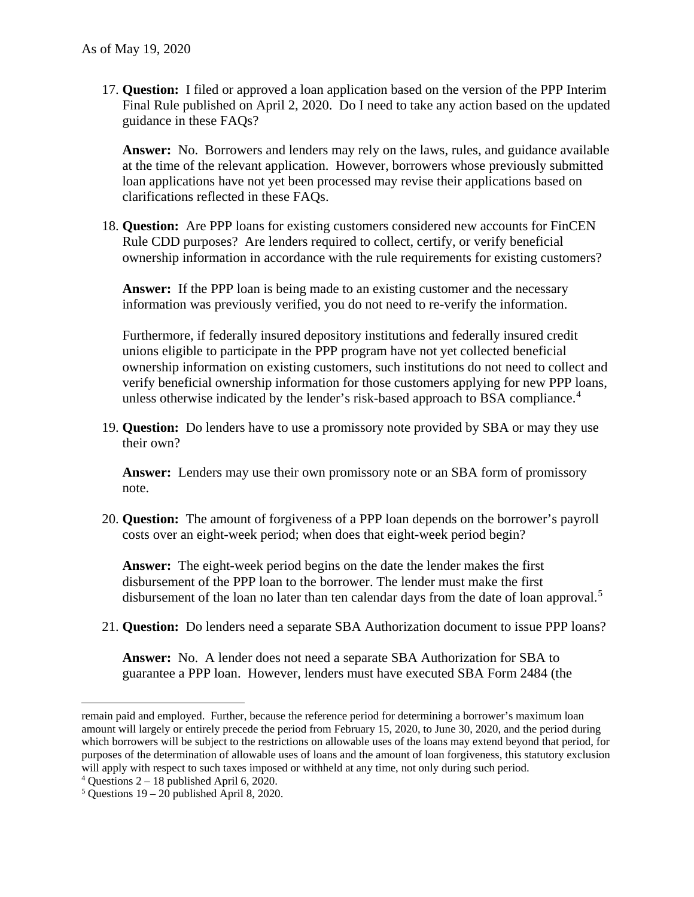17. **Question:** I filed or approved a loan application based on the version of the PPP Interim Final Rule published on April 2, 2020. Do I need to take any action based on the updated guidance in these FAQs?

**Answer:** No. Borrowers and lenders may rely on the laws, rules, and guidance available at the time of the relevant application. However, borrowers whose previously submitted loan applications have not yet been processed may revise their applications based on clarifications reflected in these FAQs.

18. **Question:** Are PPP loans for existing customers considered new accounts for FinCEN Rule CDD purposes? Are lenders required to collect, certify, or verify beneficial ownership information in accordance with the rule requirements for existing customers?

**Answer:** If the PPP loan is being made to an existing customer and the necessary information was previously verified, you do not need to re-verify the information.

Furthermore, if federally insured depository institutions and federally insured credit unions eligible to participate in the PPP program have not yet collected beneficial ownership information on existing customers, such institutions do not need to collect and verify beneficial ownership information for those customers applying for new PPP loans, unless otherwise indicated by the lender's risk-based approach to BSA compliance.<sup>[4](#page-5-0)</sup>

19. **Question:** Do lenders have to use a promissory note provided by SBA or may they use their own?

**Answer:** Lenders may use their own promissory note or an SBA form of promissory note.

20. **Question:** The amount of forgiveness of a PPP loan depends on the borrower's payroll costs over an eight-week period; when does that eight-week period begin?

**Answer:** The eight-week period begins on the date the lender makes the first disbursement of the PPP loan to the borrower. The lender must make the first disbursement of the loan no later than ten calendar days from the date of loan approval.<sup>[5](#page-5-1)</sup>

21. **Question:** Do lenders need a separate SBA Authorization document to issue PPP loans?

**Answer:** No. A lender does not need a separate SBA Authorization for SBA to guarantee a PPP loan. However, lenders must have executed SBA Form 2484 (the

 $\overline{\phantom{a}}$ 

remain paid and employed. Further, because the reference period for determining a borrower's maximum loan amount will largely or entirely precede the period from February 15, 2020, to June 30, 2020, and the period during which borrowers will be subject to the restrictions on allowable uses of the loans may extend beyond that period, for purposes of the determination of allowable uses of loans and the amount of loan forgiveness, this statutory exclusion will apply with respect to such taxes imposed or withheld at any time, not only during such period.<br><sup>4</sup> Ouestions 2 – 18 published April 6, 2020.

<span id="page-5-0"></span>

<span id="page-5-1"></span> $5$  Questions  $19 - 20$  published April 8, 2020.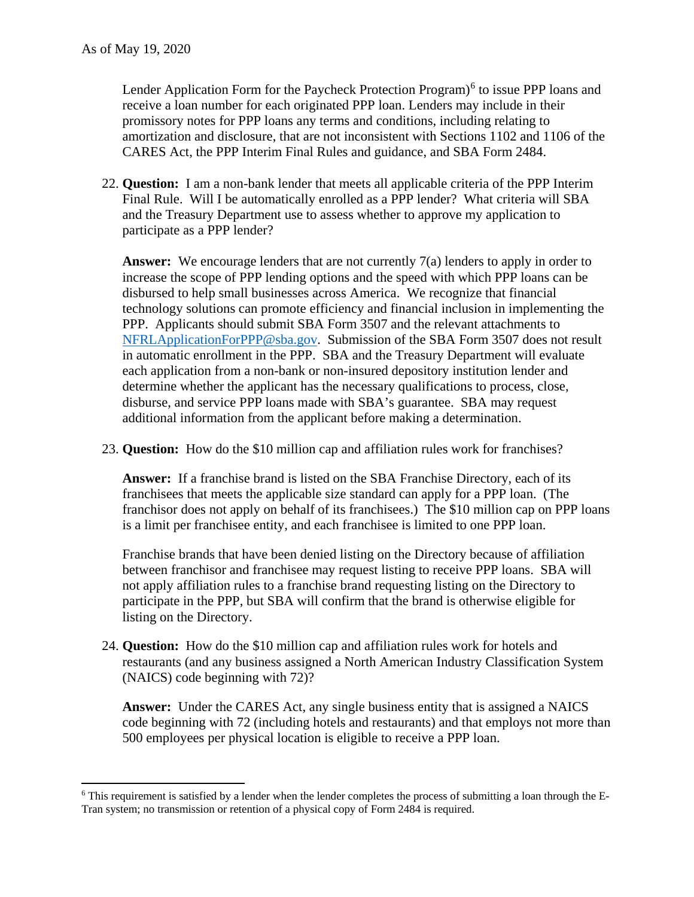$\overline{\phantom{a}}$ 

Lender Application Form for the Paycheck Protection Program)<sup>[6](#page-6-0)</sup> to issue PPP loans and receive a loan number for each originated PPP loan. Lenders may include in their promissory notes for PPP loans any terms and conditions, including relating to amortization and disclosure, that are not inconsistent with Sections 1102 and 1106 of the CARES Act, the PPP Interim Final Rules and guidance, and SBA Form 2484.

22. **Question:** I am a non-bank lender that meets all applicable criteria of the PPP Interim Final Rule. Will I be automatically enrolled as a PPP lender? What criteria will SBA and the Treasury Department use to assess whether to approve my application to participate as a PPP lender?

Answer: We encourage lenders that are not currently 7(a) lenders to apply in order to increase the scope of PPP lending options and the speed with which PPP loans can be disbursed to help small businesses across America. We recognize that financial technology solutions can promote efficiency and financial inclusion in implementing the PPP. Applicants should submit SBA Form 3507 and the relevant attachments to [NFRLApplicationForPPP@sba.gov.](mailto:NFRLApplicationForPPP@sba.gov) Submission of the SBA Form 3507 does not result in automatic enrollment in the PPP. SBA and the Treasury Department will evaluate each application from a non-bank or non-insured depository institution lender and determine whether the applicant has the necessary qualifications to process, close, disburse, and service PPP loans made with SBA's guarantee. SBA may request additional information from the applicant before making a determination.

23. **Question:** How do the \$10 million cap and affiliation rules work for franchises?

**Answer:** If a franchise brand is listed on the SBA Franchise Directory, each of its franchisees that meets the applicable size standard can apply for a PPP loan. (The franchisor does not apply on behalf of its franchisees.) The \$10 million cap on PPP loans is a limit per franchisee entity, and each franchisee is limited to one PPP loan.

Franchise brands that have been denied listing on the Directory because of affiliation between franchisor and franchisee may request listing to receive PPP loans. SBA will not apply affiliation rules to a franchise brand requesting listing on the Directory to participate in the PPP, but SBA will confirm that the brand is otherwise eligible for listing on the Directory.

24. **Question:** How do the \$10 million cap and affiliation rules work for hotels and restaurants (and any business assigned a North American Industry Classification System (NAICS) code beginning with 72)?

**Answer:** Under the CARES Act, any single business entity that is assigned a NAICS code beginning with 72 (including hotels and restaurants) and that employs not more than 500 employees per physical location is eligible to receive a PPP loan.

<span id="page-6-0"></span><sup>6</sup> This requirement is satisfied by a lender when the lender completes the process of submitting a loan through the E-Tran system; no transmission or retention of a physical copy of Form 2484 is required.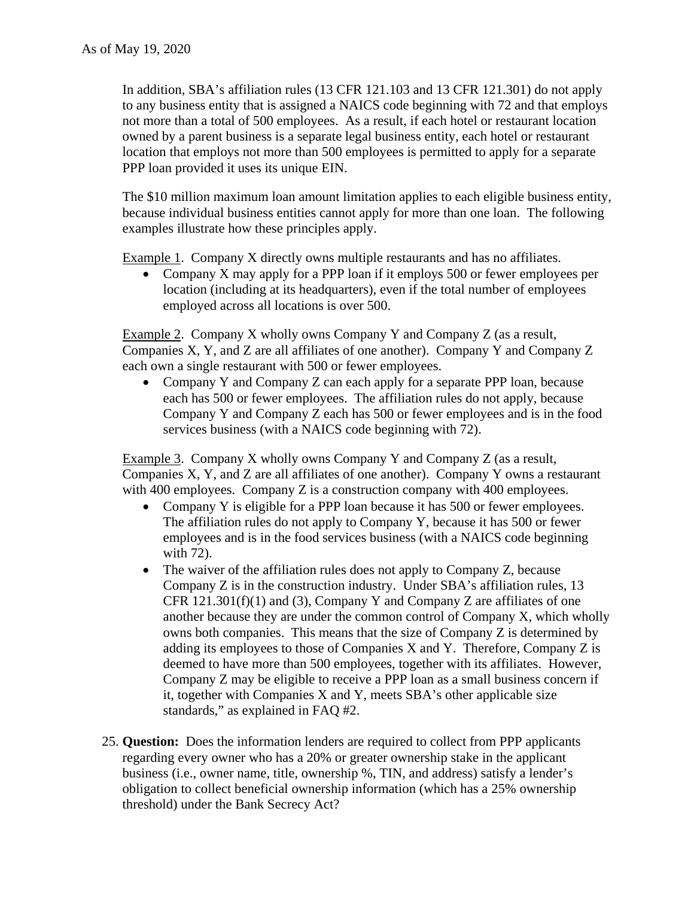In addition, SBA's affiliation rules (13 CFR 121.103 and 13 CFR 121.301) do not apply to any business entity that is assigned a NAICS code beginning with 72 and that employs not more than a total of 500 employees. As a result, if each hotel or restaurant location owned by a parent business is a separate legal business entity, each hotel or restaurant location that employs not more than 500 employees is permitted to apply for a separate PPP loan provided it uses its unique EIN.

The \$10 million maximum loan amount limitation applies to each eligible business entity, because individual business entities cannot apply for more than one loan. The following examples illustrate how these principles apply.

Example 1. Company X directly owns multiple restaurants and has no affiliates.

• Company X may apply for a PPP loan if it employs 500 or fewer employees per location (including at its headquarters), even if the total number of employees employed across all locations is over 500.

Example 2. Company X wholly owns Company Y and Company Z (as a result, Companies X, Y, and Z are all affiliates of one another). Company Y and Company Z each own a single restaurant with 500 or fewer employees.

• Company Y and Company Z can each apply for a separate PPP loan, because each has 500 or fewer employees. The affiliation rules do not apply, because Company Y and Company Z each has 500 or fewer employees and is in the food services business (with a NAICS code beginning with 72).

Example 3. Company X wholly owns Company Y and Company Z (as a result, Companies X, Y, and Z are all affiliates of one another). Company Y owns a restaurant with 400 employees. Company Z is a construction company with 400 employees.

- Company Y is eligible for a PPP loan because it has 500 or fewer employees. The affiliation rules do not apply to Company Y, because it has 500 or fewer employees and is in the food services business (with a NAICS code beginning with 72).
- The waiver of the affiliation rules does not apply to Company Z, because Company Z is in the construction industry. Under SBA's affiliation rules, 13 CFR 121.301(f)(1) and (3), Company Y and Company Z are affiliates of one another because they are under the common control of Company X, which wholly owns both companies. This means that the size of Company Z is determined by adding its employees to those of Companies X and Y. Therefore, Company Z is deemed to have more than 500 employees, together with its affiliates. However, Company Z may be eligible to receive a PPP loan as a small business concern if it, together with Companies X and Y, meets SBA's other applicable size standards," as explained in FAQ #2.
- 25. **Question:** Does the information lenders are required to collect from PPP applicants regarding every owner who has a 20% or greater ownership stake in the applicant business (i.e., owner name, title, ownership %, TIN, and address) satisfy a lender's obligation to collect beneficial ownership information (which has a 25% ownership threshold) under the Bank Secrecy Act?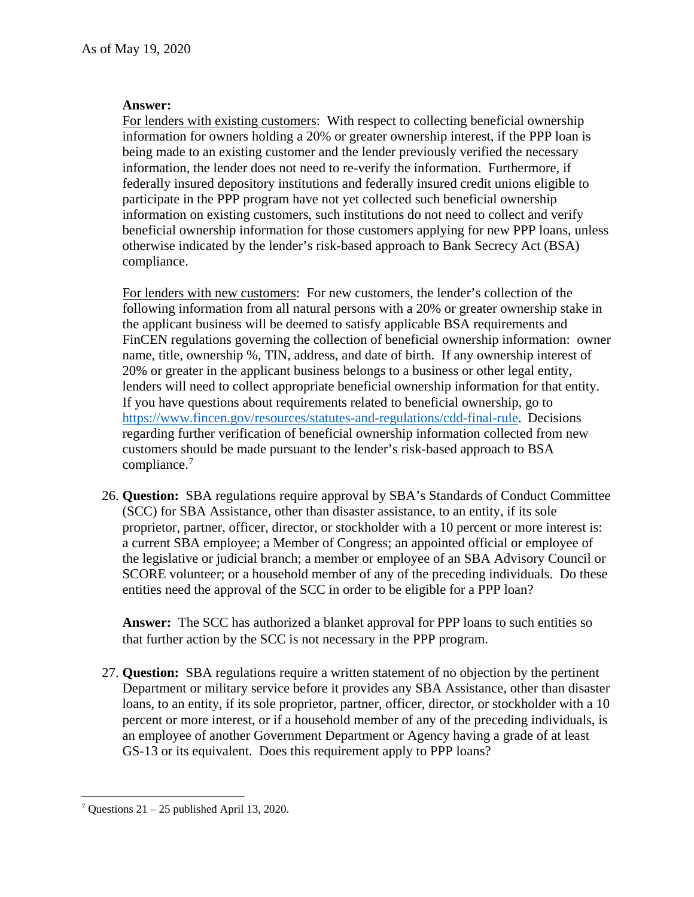## **Answer:**

For lenders with existing customers: With respect to collecting beneficial ownership information for owners holding a 20% or greater ownership interest, if the PPP loan is being made to an existing customer and the lender previously verified the necessary information, the lender does not need to re-verify the information. Furthermore, if federally insured depository institutions and federally insured credit unions eligible to participate in the PPP program have not yet collected such beneficial ownership information on existing customers, such institutions do not need to collect and verify beneficial ownership information for those customers applying for new PPP loans, unless otherwise indicated by the lender's risk-based approach to Bank Secrecy Act (BSA) compliance.

For lenders with new customers: For new customers, the lender's collection of the following information from all natural persons with a 20% or greater ownership stake in the applicant business will be deemed to satisfy applicable BSA requirements and FinCEN regulations governing the collection of beneficial ownership information: owner name, title, ownership %, TIN, address, and date of birth. If any ownership interest of 20% or greater in the applicant business belongs to a business or other legal entity, lenders will need to collect appropriate beneficial ownership information for that entity. If you have questions about requirements related to beneficial ownership, go to [https://www.fincen.gov/resources/statutes-and-regulations/cdd-final-rule.](https://www.fincen.gov/resources/statutes-and-regulations/cdd-final-rule) Decisions regarding further verification of beneficial ownership information collected from new customers should be made pursuant to the lender's risk-based approach to BSA compliance.<sup>[7](#page-8-0)</sup>

26. **Question:** SBA regulations require approval by SBA's Standards of Conduct Committee (SCC) for SBA Assistance, other than disaster assistance, to an entity, if its sole proprietor, partner, officer, director, or stockholder with a 10 percent or more interest is: a current SBA employee; a Member of Congress; an appointed official or employee of the legislative or judicial branch; a member or employee of an SBA Advisory Council or SCORE volunteer; or a household member of any of the preceding individuals. Do these entities need the approval of the SCC in order to be eligible for a PPP loan?

**Answer:** The SCC has authorized a blanket approval for PPP loans to such entities so that further action by the SCC is not necessary in the PPP program.

27. **Question:** SBA regulations require a written statement of no objection by the pertinent Department or military service before it provides any SBA Assistance, other than disaster loans, to an entity, if its sole proprietor, partner, officer, director, or stockholder with a 10 percent or more interest, or if a household member of any of the preceding individuals, is an employee of another Government Department or Agency having a grade of at least GS-13 or its equivalent. Does this requirement apply to PPP loans?

<span id="page-8-0"></span>l  $7$  Questions  $21 - 25$  published April 13, 2020.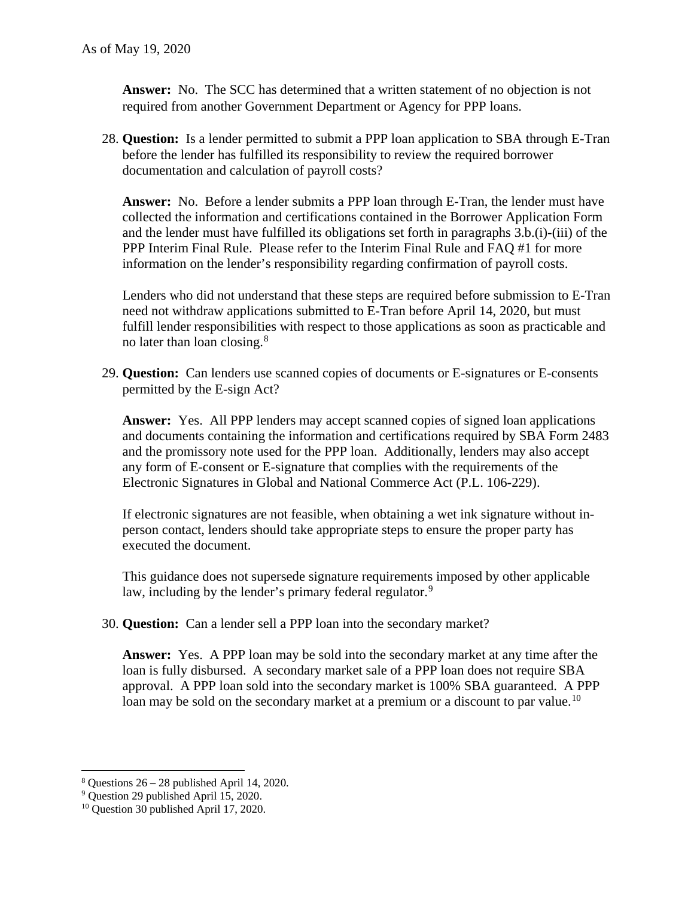**Answer:** No. The SCC has determined that a written statement of no objection is not required from another Government Department or Agency for PPP loans.

28. **Question:** Is a lender permitted to submit a PPP loan application to SBA through E-Tran before the lender has fulfilled its responsibility to review the required borrower documentation and calculation of payroll costs?

**Answer:** No. Before a lender submits a PPP loan through E-Tran, the lender must have collected the information and certifications contained in the Borrower Application Form and the lender must have fulfilled its obligations set forth in paragraphs 3.b.(i)-(iii) of the PPP Interim Final Rule. Please refer to the Interim Final Rule and FAQ #1 for more information on the lender's responsibility regarding confirmation of payroll costs.

Lenders who did not understand that these steps are required before submission to E-Tran need not withdraw applications submitted to E-Tran before April 14, 2020, but must fulfill lender responsibilities with respect to those applications as soon as practicable and no later than loan closing.<sup>[8](#page-9-0)</sup>

29. **Question:** Can lenders use scanned copies of documents or E-signatures or E-consents permitted by the E-sign Act?

**Answer:** Yes. All PPP lenders may accept scanned copies of signed loan applications and documents containing the information and certifications required by SBA Form 2483 and the promissory note used for the PPP loan. Additionally, lenders may also accept any form of E-consent or E-signature that complies with the requirements of the Electronic Signatures in Global and National Commerce Act (P.L. 106-229).

If electronic signatures are not feasible, when obtaining a wet ink signature without inperson contact, lenders should take appropriate steps to ensure the proper party has executed the document.

This guidance does not supersede signature requirements imposed by other applicable law, including by the lender's primary federal regulator.<sup>[9](#page-9-1)</sup>

30. **Question:** Can a lender sell a PPP loan into the secondary market?

**Answer:** Yes. A PPP loan may be sold into the secondary market at any time after the loan is fully disbursed. A secondary market sale of a PPP loan does not require SBA approval. A PPP loan sold into the secondary market is 100% SBA guaranteed. A PPP loan may be sold on the secondary market at a premium or a discount to par value.<sup>[10](#page-9-2)</sup>

 $\overline{a}$ 

<span id="page-9-0"></span> $8$  Questions  $26 - 28$  published April 14, 2020.

<span id="page-9-1"></span><sup>9</sup> Question 29 published April 15, 2020.

<span id="page-9-2"></span><sup>10</sup> Question 30 published April 17, 2020.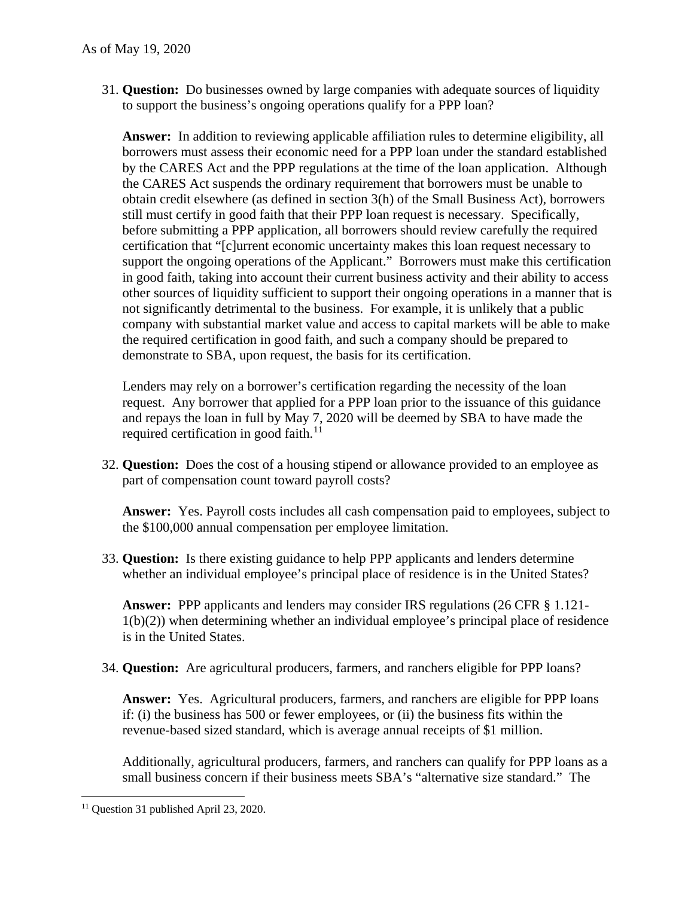31. **Question:** Do businesses owned by large companies with adequate sources of liquidity to support the business's ongoing operations qualify for a PPP loan?

**Answer:** In addition to reviewing applicable affiliation rules to determine eligibility, all borrowers must assess their economic need for a PPP loan under the standard established by the CARES Act and the PPP regulations at the time of the loan application. Although the CARES Act suspends the ordinary requirement that borrowers must be unable to obtain credit elsewhere (as defined in section 3(h) of the Small Business Act), borrowers still must certify in good faith that their PPP loan request is necessary. Specifically, before submitting a PPP application, all borrowers should review carefully the required certification that "[c]urrent economic uncertainty makes this loan request necessary to support the ongoing operations of the Applicant." Borrowers must make this certification in good faith, taking into account their current business activity and their ability to access other sources of liquidity sufficient to support their ongoing operations in a manner that is not significantly detrimental to the business. For example, it is unlikely that a public company with substantial market value and access to capital markets will be able to make the required certification in good faith, and such a company should be prepared to demonstrate to SBA, upon request, the basis for its certification.

Lenders may rely on a borrower's certification regarding the necessity of the loan request. Any borrower that applied for a PPP loan prior to the issuance of this guidance and repays the loan in full by May 7, 2020 will be deemed by SBA to have made the required certification in good faith.<sup>[11](#page-10-0)</sup>

32. **Question:** Does the cost of a housing stipend or allowance provided to an employee as part of compensation count toward payroll costs?

**Answer:** Yes. Payroll costs includes all cash compensation paid to employees, subject to the \$100,000 annual compensation per employee limitation.

33. **Question:** Is there existing guidance to help PPP applicants and lenders determine whether an individual employee's principal place of residence is in the United States?

**Answer:** PPP applicants and lenders may consider IRS regulations (26 CFR § 1.121-  $1(b)(2)$ ) when determining whether an individual employee's principal place of residence is in the United States.

34. **Question:** Are agricultural producers, farmers, and ranchers eligible for PPP loans?

**Answer:** Yes.Agricultural producers, farmers, and ranchers are eligible for PPP loans if: (i) the business has 500 or fewer employees, or (ii) the business fits within the revenue-based sized standard, which is average annual receipts of \$1 million.

Additionally, agricultural producers, farmers, and ranchers can qualify for PPP loans as a small business concern if their business meets SBA's "alternative size standard." The

<span id="page-10-0"></span>l <sup>11</sup> Question 31 published April 23, 2020.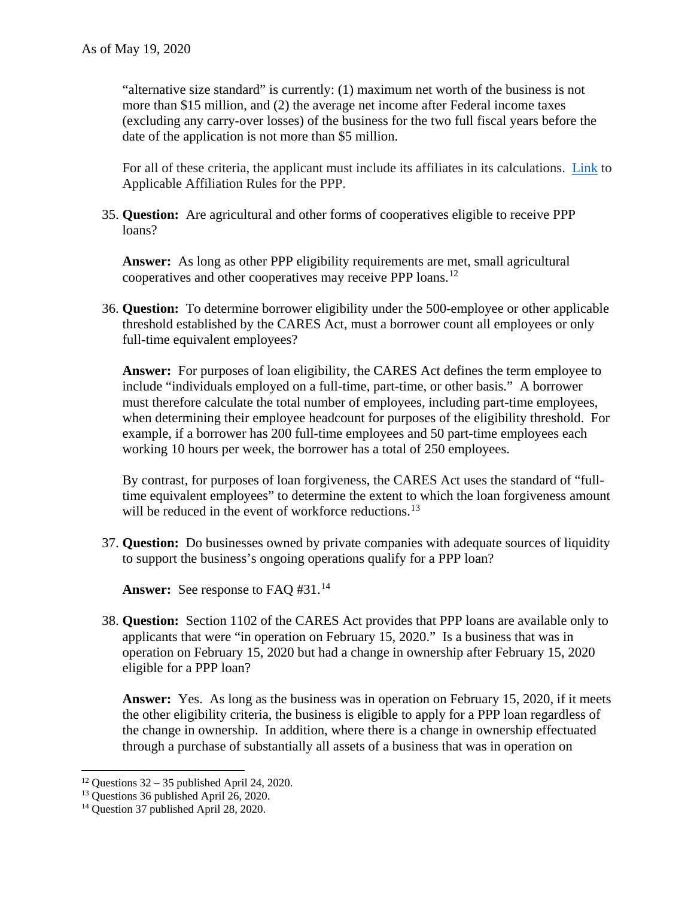"alternative size standard" is currently: (1) maximum net worth of the business is not more than \$15 million, and (2) the average net income after Federal income taxes (excluding any carry-over losses) of the business for the two full fiscal years before the date of the application is not more than \$5 million.

For all of these criteria, the applicant must include its affiliates in its calculations. [Link](https://www.sba.gov/document/support--affiliation-rules-paycheck-protection-program) to Applicable Affiliation Rules for the PPP.

35. **Question:** Are agricultural and other forms of cooperatives eligible to receive PPP loans?

**Answer:** As long as other PPP eligibility requirements are met, small agricultural cooperatives and other cooperatives may receive PPP loans.[12](#page-11-0)

36. **Question:** To determine borrower eligibility under the 500-employee or other applicable threshold established by the CARES Act, must a borrower count all employees or only full-time equivalent employees?

**Answer:** For purposes of loan eligibility, the CARES Act defines the term employee to include "individuals employed on a full-time, part-time, or other basis." A borrower must therefore calculate the total number of employees, including part-time employees, when determining their employee headcount for purposes of the eligibility threshold. For example, if a borrower has 200 full-time employees and 50 part-time employees each working 10 hours per week, the borrower has a total of 250 employees.

By contrast, for purposes of loan forgiveness, the CARES Act uses the standard of "fulltime equivalent employees" to determine the extent to which the loan forgiveness amount will be reduced in the event of workforce reductions.<sup>[13](#page-11-1)</sup>

37. **Question:** Do businesses owned by private companies with adequate sources of liquidity to support the business's ongoing operations qualify for a PPP loan?

Answer: See response to FAQ #31.<sup>[14](#page-11-2)</sup>

38. **Question:** Section 1102 of the CARES Act provides that PPP loans are available only to applicants that were "in operation on February 15, 2020." Is a business that was in operation on February 15, 2020 but had a change in ownership after February 15, 2020 eligible for a PPP loan?

**Answer:** Yes. As long as the business was in operation on February 15, 2020, if it meets the other eligibility criteria, the business is eligible to apply for a PPP loan regardless of the change in ownership. In addition, where there is a change in ownership effectuated through a purchase of substantially all assets of a business that was in operation on

 $\overline{a}$ 

<span id="page-11-0"></span><sup>&</sup>lt;sup>12</sup> Questions  $32 - 35$  published April 24, 2020.

<span id="page-11-1"></span><sup>13</sup> Questions 36 published April 26, 2020.

<span id="page-11-2"></span><sup>14</sup> Question 37 published April 28, 2020.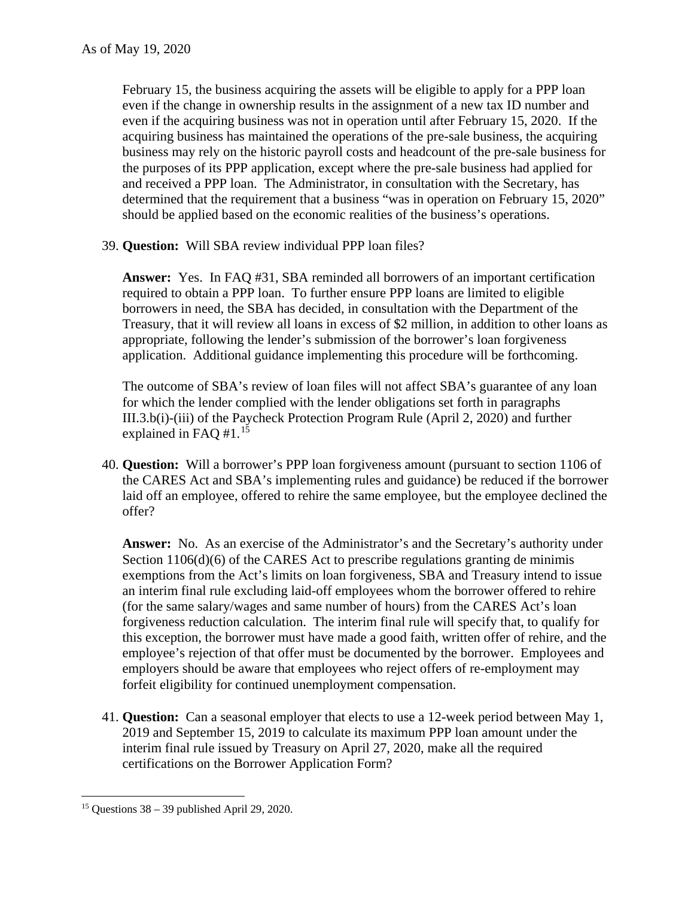February 15, the business acquiring the assets will be eligible to apply for a PPP loan even if the change in ownership results in the assignment of a new tax ID number and even if the acquiring business was not in operation until after February 15, 2020. If the acquiring business has maintained the operations of the pre-sale business, the acquiring business may rely on the historic payroll costs and headcount of the pre-sale business for the purposes of its PPP application, except where the pre-sale business had applied for and received a PPP loan. The Administrator, in consultation with the Secretary, has determined that the requirement that a business "was in operation on February 15, 2020" should be applied based on the economic realities of the business's operations.

39. **Question:** Will SBA review individual PPP loan files?

**Answer:** Yes. In FAQ #31, SBA reminded all borrowers of an important certification required to obtain a PPP loan. To further ensure PPP loans are limited to eligible borrowers in need, the SBA has decided, in consultation with the Department of the Treasury, that it will review all loans in excess of \$2 million, in addition to other loans as appropriate, following the lender's submission of the borrower's loan forgiveness application. Additional guidance implementing this procedure will be forthcoming.

The outcome of SBA's review of loan files will not affect SBA's guarantee of any loan for which the lender complied with the lender obligations set forth in paragraphs III.3.b(i)-(iii) of the Paycheck Protection Program Rule (April 2, 2020) and further explained in FAO #1.<sup>[15](#page-12-0)</sup>

40. **Question:** Will a borrower's PPP loan forgiveness amount (pursuant to section 1106 of the CARES Act and SBA's implementing rules and guidance) be reduced if the borrower laid off an employee, offered to rehire the same employee, but the employee declined the offer?

**Answer:** No. As an exercise of the Administrator's and the Secretary's authority under Section 1106(d)(6) of the CARES Act to prescribe regulations granting de minimis exemptions from the Act's limits on loan forgiveness, SBA and Treasury intend to issue an interim final rule excluding laid-off employees whom the borrower offered to rehire (for the same salary/wages and same number of hours) from the CARES Act's loan forgiveness reduction calculation. The interim final rule will specify that, to qualify for this exception, the borrower must have made a good faith, written offer of rehire, and the employee's rejection of that offer must be documented by the borrower. Employees and employers should be aware that employees who reject offers of re-employment may forfeit eligibility for continued unemployment compensation.

41. **Question:** Can a seasonal employer that elects to use a 12-week period between May 1, 2019 and September 15, 2019 to calculate its maximum PPP loan amount under the interim final rule issued by Treasury on April 27, 2020, make all the required certifications on the Borrower Application Form?

<span id="page-12-0"></span>l <sup>15</sup> Questions  $38 - 39$  published April 29, 2020.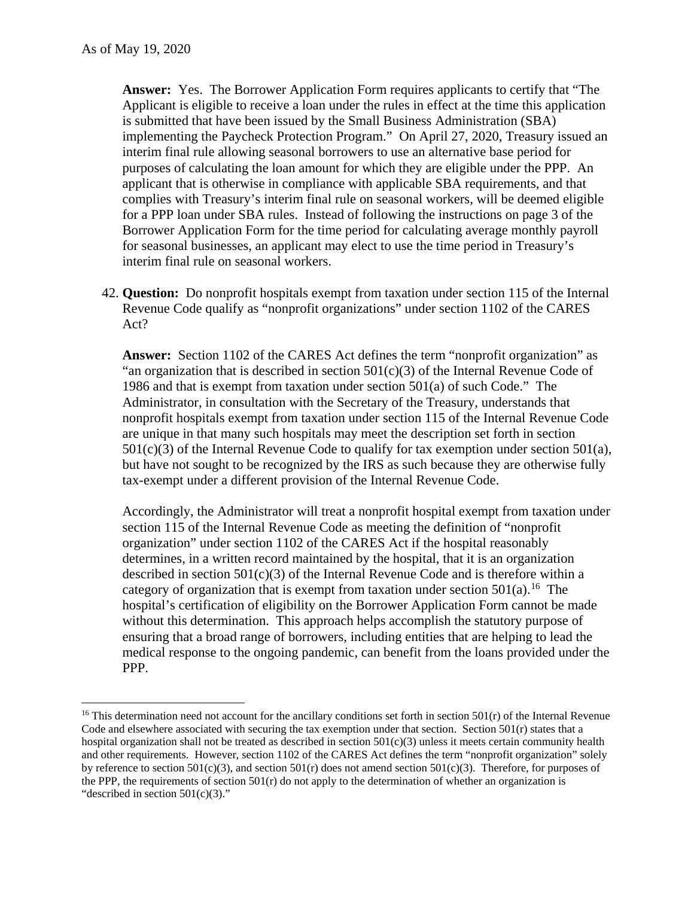$\overline{\phantom{a}}$ 

**Answer:** Yes. The Borrower Application Form requires applicants to certify that "The Applicant is eligible to receive a loan under the rules in effect at the time this application is submitted that have been issued by the Small Business Administration (SBA) implementing the Paycheck Protection Program." On April 27, 2020, Treasury issued an interim final rule allowing seasonal borrowers to use an alternative base period for purposes of calculating the loan amount for which they are eligible under the PPP. An applicant that is otherwise in compliance with applicable SBA requirements, and that complies with Treasury's interim final rule on seasonal workers, will be deemed eligible for a PPP loan under SBA rules. Instead of following the instructions on page 3 of the Borrower Application Form for the time period for calculating average monthly payroll for seasonal businesses, an applicant may elect to use the time period in Treasury's interim final rule on seasonal workers.

42. **Question:** Do nonprofit hospitals exempt from taxation under section 115 of the Internal Revenue Code qualify as "nonprofit organizations" under section 1102 of the CARES Act?

**Answer:** Section 1102 of the CARES Act defines the term "nonprofit organization" as "an organization that is described in section  $501(c)(3)$  of the Internal Revenue Code of 1986 and that is exempt from taxation under section 501(a) of such Code." The Administrator, in consultation with the Secretary of the Treasury, understands that nonprofit hospitals exempt from taxation under section 115 of the Internal Revenue Code are unique in that many such hospitals may meet the description set forth in section  $501(c)(3)$  of the Internal Revenue Code to qualify for tax exemption under section  $501(a)$ , but have not sought to be recognized by the IRS as such because they are otherwise fully tax-exempt under a different provision of the Internal Revenue Code.

Accordingly, the Administrator will treat a nonprofit hospital exempt from taxation under section 115 of the Internal Revenue Code as meeting the definition of "nonprofit organization" under section 1102 of the CARES Act if the hospital reasonably determines, in a written record maintained by the hospital, that it is an organization described in section  $501(c)(3)$  of the Internal Revenue Code and is therefore within a category of organization that is exempt from taxation under section  $501(a)$ .<sup>[16](#page-13-0)</sup> The hospital's certification of eligibility on the Borrower Application Form cannot be made without this determination. This approach helps accomplish the statutory purpose of ensuring that a broad range of borrowers, including entities that are helping to lead the medical response to the ongoing pandemic, can benefit from the loans provided under the PPP.

<span id="page-13-0"></span><sup>&</sup>lt;sup>16</sup> This determination need not account for the ancillary conditions set forth in section  $501(r)$  of the Internal Revenue Code and elsewhere associated with securing the tax exemption under that section. Section  $501(r)$  states that a hospital organization shall not be treated as described in section  $501(c)(3)$  unless it meets certain community health and other requirements. However, section 1102 of the CARES Act defines the term "nonprofit organization" solely by reference to section 501(c)(3), and section 501(r) does not amend section 501(c)(3). Therefore, for purposes of the PPP, the requirements of section  $501(r)$  do not apply to the determination of whether an organization is "described in section 501(c)(3)."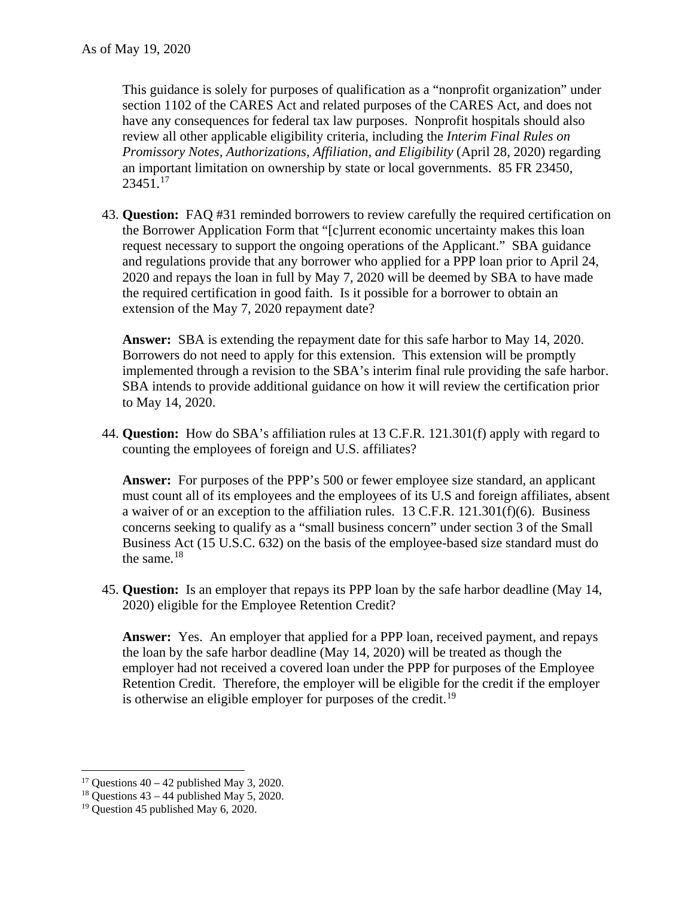This guidance is solely for purposes of qualification as a "nonprofit organization" under section 1102 of the CARES Act and related purposes of the CARES Act, and does not have any consequences for federal tax law purposes. Nonprofit hospitals should also review all other applicable eligibility criteria, including the *Interim Final Rules on Promissory Notes, Authorizations, Affiliation, and Eligibility* (April 28, 2020) regarding an important limitation on ownership by state or local governments. 85 FR 23450,  $23451^{17}$  $23451^{17}$  $23451^{17}$ 

43. **Question:** FAQ #31 reminded borrowers to review carefully the required certification on the Borrower Application Form that "[c]urrent economic uncertainty makes this loan request necessary to support the ongoing operations of the Applicant." SBA guidance and regulations provide that any borrower who applied for a PPP loan prior to April 24, 2020 and repays the loan in full by May 7, 2020 will be deemed by SBA to have made the required certification in good faith. Is it possible for a borrower to obtain an extension of the May 7, 2020 repayment date?

**Answer:** SBA is extending the repayment date for this safe harbor to May 14, 2020. Borrowers do not need to apply for this extension. This extension will be promptly implemented through a revision to the SBA's interim final rule providing the safe harbor. SBA intends to provide additional guidance on how it will review the certification prior to May 14, 2020.

44. **Question:** How do SBA's affiliation rules at 13 C.F.R. 121.301(f) apply with regard to counting the employees of foreign and U.S. affiliates?

**Answer:** For purposes of the PPP's 500 or fewer employee size standard, an applicant must count all of its employees and the employees of its U.S and foreign affiliates, absent a waiver of or an exception to the affiliation rules. 13 C.F.R. 121.301(f)(6). Business concerns seeking to qualify as a "small business concern" under section 3 of the Small Business Act (15 U.S.C. 632) on the basis of the employee-based size standard must do the same.<sup>[18](#page-14-1)</sup>

45. **Question:** Is an employer that repays its PPP loan by the safe harbor deadline (May 14, 2020) eligible for the Employee Retention Credit?

**Answer:** Yes. An employer that applied for a PPP loan, received payment, and repays the loan by the safe harbor deadline (May 14, 2020) will be treated as though the employer had not received a covered loan under the PPP for purposes of the Employee Retention Credit. Therefore, the employer will be eligible for the credit if the employer is otherwise an eligible employer for purposes of the credit.<sup>[19](#page-14-2)</sup>

 $\overline{a}$ 

<span id="page-14-0"></span><sup>&</sup>lt;sup>17</sup> Questions  $40 - 42$  published May 3, 2020.

<span id="page-14-1"></span><sup>&</sup>lt;sup>18</sup> Questions  $43 - 44$  published May 5, 2020.

<span id="page-14-2"></span><sup>19</sup> Question 45 published May 6, 2020.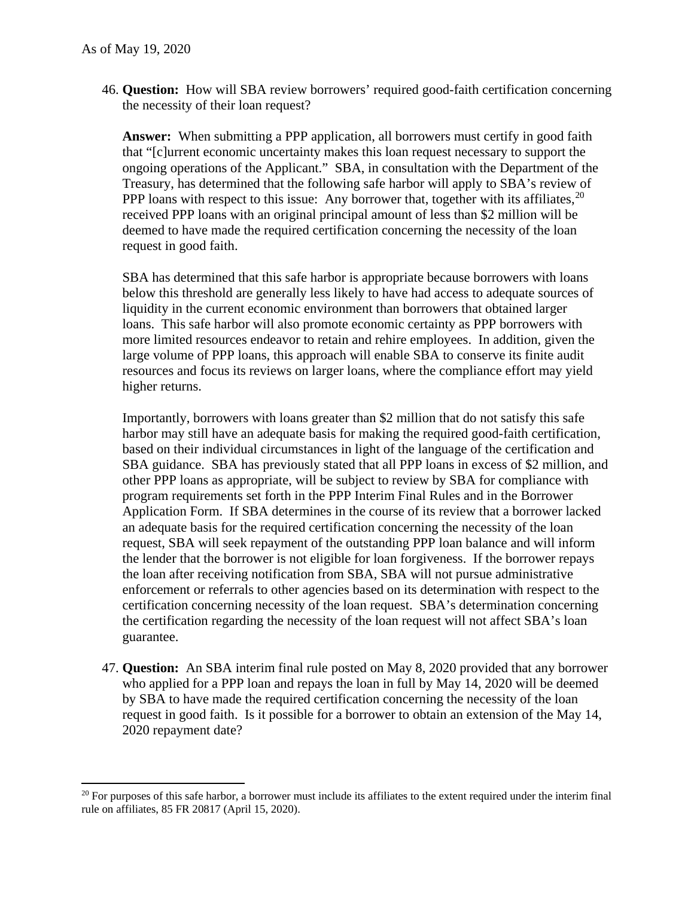$\overline{\phantom{a}}$ 

46. **Question:** How will SBA review borrowers' required good-faith certification concerning the necessity of their loan request?

**Answer:** When submitting a PPP application, all borrowers must certify in good faith that "[c]urrent economic uncertainty makes this loan request necessary to support the ongoing operations of the Applicant." SBA, in consultation with the Department of the Treasury, has determined that the following safe harbor will apply to SBA's review of PPP loans with respect to this issue: Any borrower that, together with its affiliates,  $20$ received PPP loans with an original principal amount of less than \$2 million will be deemed to have made the required certification concerning the necessity of the loan request in good faith.

SBA has determined that this safe harbor is appropriate because borrowers with loans below this threshold are generally less likely to have had access to adequate sources of liquidity in the current economic environment than borrowers that obtained larger loans. This safe harbor will also promote economic certainty as PPP borrowers with more limited resources endeavor to retain and rehire employees. In addition, given the large volume of PPP loans, this approach will enable SBA to conserve its finite audit resources and focus its reviews on larger loans, where the compliance effort may yield higher returns.

Importantly, borrowers with loans greater than \$2 million that do not satisfy this safe harbor may still have an adequate basis for making the required good-faith certification, based on their individual circumstances in light of the language of the certification and SBA guidance. SBA has previously stated that all PPP loans in excess of \$2 million, and other PPP loans as appropriate, will be subject to review by SBA for compliance with program requirements set forth in the PPP Interim Final Rules and in the Borrower Application Form. If SBA determines in the course of its review that a borrower lacked an adequate basis for the required certification concerning the necessity of the loan request, SBA will seek repayment of the outstanding PPP loan balance and will inform the lender that the borrower is not eligible for loan forgiveness. If the borrower repays the loan after receiving notification from SBA, SBA will not pursue administrative enforcement or referrals to other agencies based on its determination with respect to the certification concerning necessity of the loan request. SBA's determination concerning the certification regarding the necessity of the loan request will not affect SBA's loan guarantee.

47. **Question:** An SBA interim final rule posted on May 8, 2020 provided that any borrower who applied for a PPP loan and repays the loan in full by May 14, 2020 will be deemed by SBA to have made the required certification concerning the necessity of the loan request in good faith. Is it possible for a borrower to obtain an extension of the May 14, 2020 repayment date?

<span id="page-15-0"></span><sup>&</sup>lt;sup>20</sup> For purposes of this safe harbor, a borrower must include its affiliates to the extent required under the interim final rule on affiliates, 85 FR 20817 (April 15, 2020).